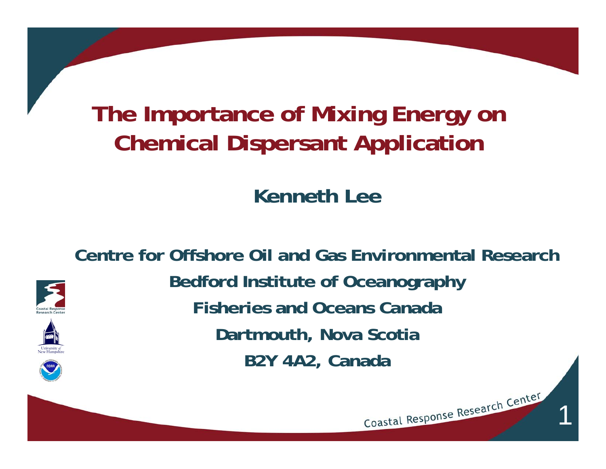#### **The Importance of Mixing Energy on Chemical Dispersant Application**

**Kenneth Lee**

**Centre for Offshore Oil and Gas Environmental ResearchBedford Institute of Oceanography Fisheries and Oceans CanadaDartmouth, Nova Scotia B2Y 4A2, Canada**

1

Coastal Response Research Center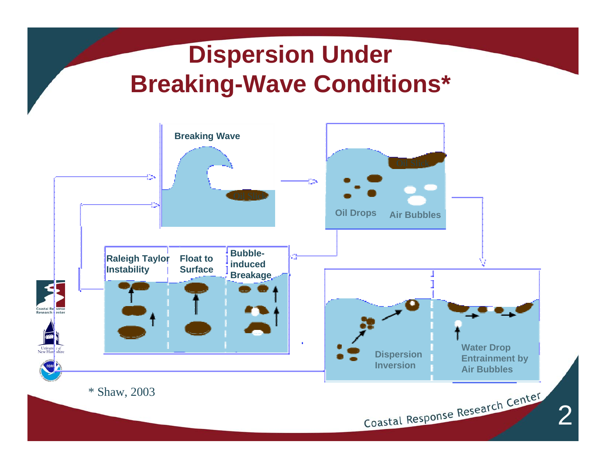#### **Dispersion Under Breaking-Wave Conditions\***

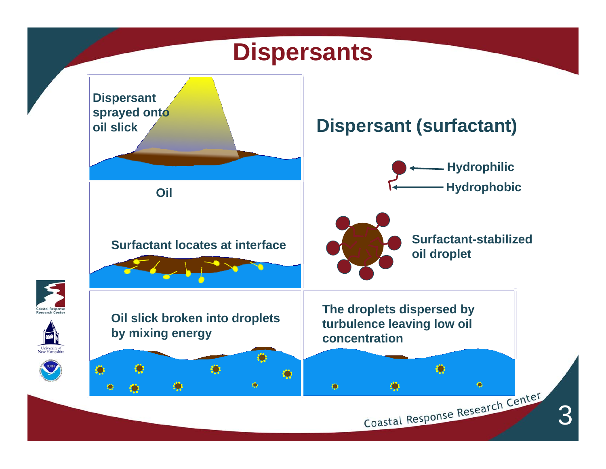#### **Dispersants**

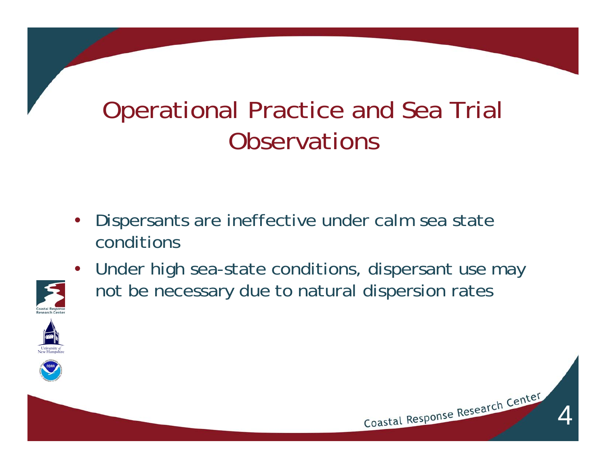## Operational Practice and Sea Trial **Observations**

- • Dispersants are ineffective under calm sea state conditions
- Under high sea-state conditions, dispersant use may not be necessary due to natural dispersion rates







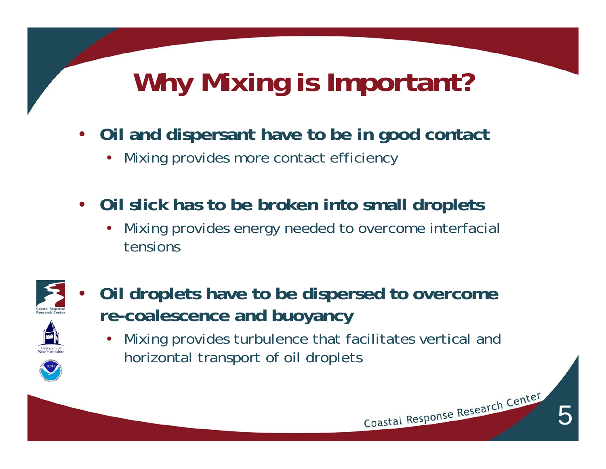# **Why Mixing is Important?**

- • **Oil and dispersant have to be in good contact**
	- •Mixing provides more contact efficiency
- $\bullet$  **Oil slick has to be broken into small droplets** 
	- • Mixing provides energy needed to overcome interfacial tensions



- • **Oil droplets have to be dispersed to overcome re-coalescence and buoyancy**
	- • Mixing provides turbulence that facilitates vertical and horizontal transport of oil droplets

5

Coastal Response Research Center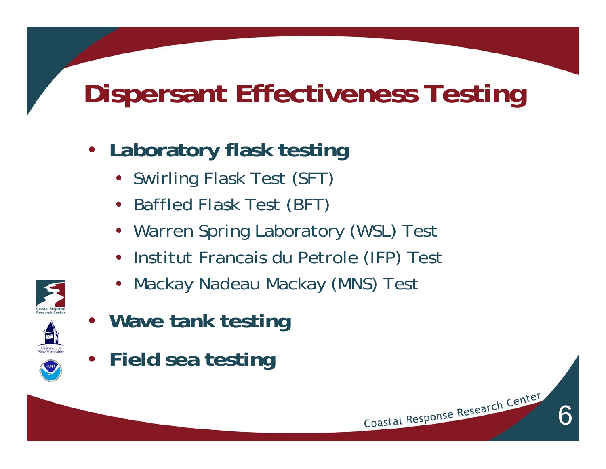# **Dispersant Effectiveness Testing**

- **Laboratory flask testing**
	- Swirling Flask Test (SFT)
	- Baffled Flask Test (BFT)
	- Warren Spring Laboratory (WSL) Test
	- •Institut Francais du Petrole (IFP) Test
	- •Mackay Nadeau Mackay (MNS) Test



- **Wave tank testing**
- **Field sea testing**

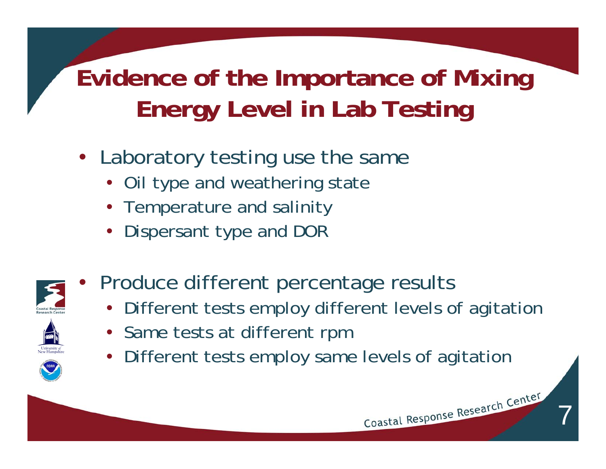## **Evidence of the Importance of Mixing Energy Level in Lab Testing**

- Laboratory testing use the same
	- Oil type and weathering state
	- Temperature and salinity
	- Dispersant type and DOR



 $\bullet$ 

- Produce different percentage results
	- Different tests employ different levels of agitation

7

Coastal Response Research Center

- Same tests at different rpm
- Different tests employ same levels of agitation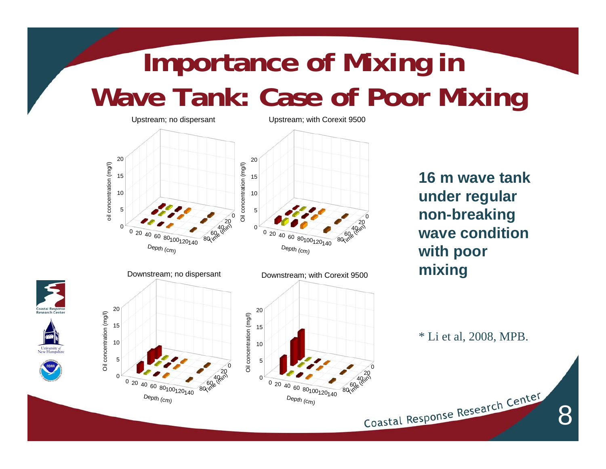# **Importance of Mixing in Wave Tank: Case of Poor Mixing**



University of<br>New Hampsh

**16 m wave tank under regular non-breaking wave condition with poor mixing** 

\* Li et al, 2008, MPB.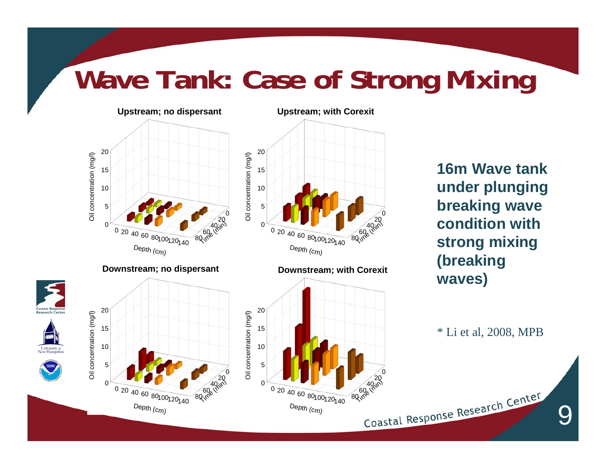## **Wave Tank: Case of Strong Mixing**



University<br>New Hamps

**16m Wave tank under plunging breaking wave condition with strong mixing (breaking waves)**

\* Li et al, 2008, MPB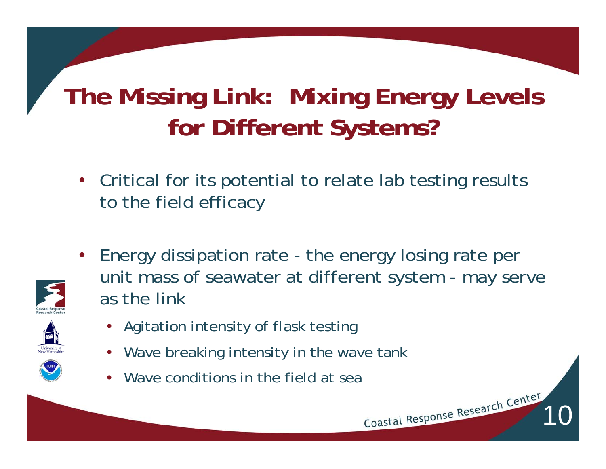## **The Missing Link: Mixing Energy Levels for Different Systems?**

• Critical for its potential to relate lab testing results to the field efficacy



• Energy dissipation rate - the energy losing rate per unit mass of seawater at different system - may serve as the link

- Agitation intensity of flask testing
- Wave breaking intensity in the wave tank
- •Wave conditions in the field at sea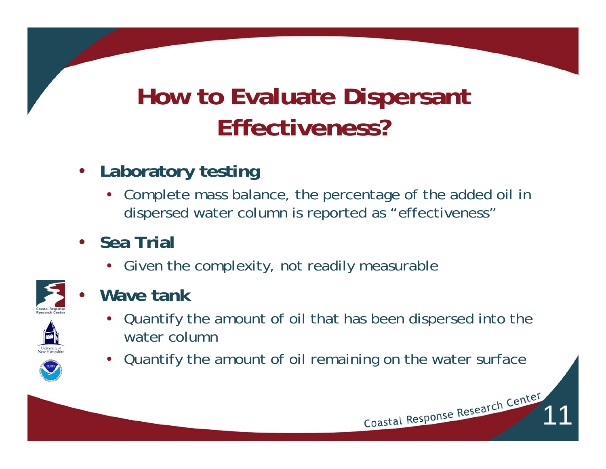## **How to Evaluate Dispersant Effectiveness?**

- • **Laboratory testing**
	- • Complete mass balance, the percentage of the added oil in dispersed water column is reported as "effectiveness"
- **Sea Trial**
	- Given the complexity, not readily measurable



•**Wave tank**



- Quantify the amount of oil that has been dispersed into the water column
- •Quantify the amount of oil remaining on the water surface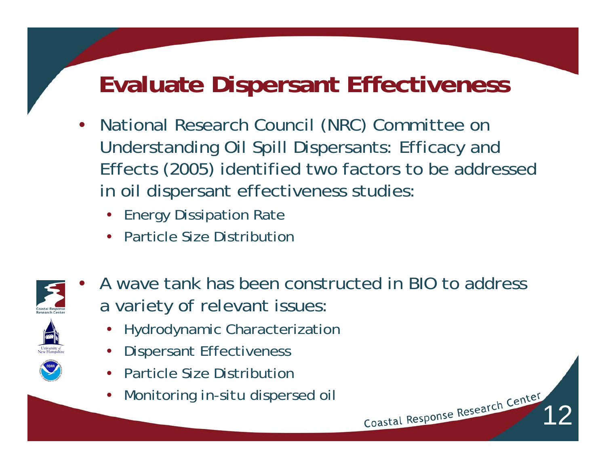#### **Evaluate Dispersant Effectiveness**

- • National Research Council (NRC) Committee on Understanding Oil Spill Dispersants: Efficacy and Effects (2005) identified two factors to be addressed in oil dispersant effectiveness studies:
	- Energy Dissipation Rate
	- Particle Size Distribution



• A wave tank has been constructed in BIO to address a variety of relevant issues:

- Hydrodynamic Characterization
- •Dispersant Effectiveness
- •Particle Size Distribution
- •Monitoring *in-situ* dispersed oil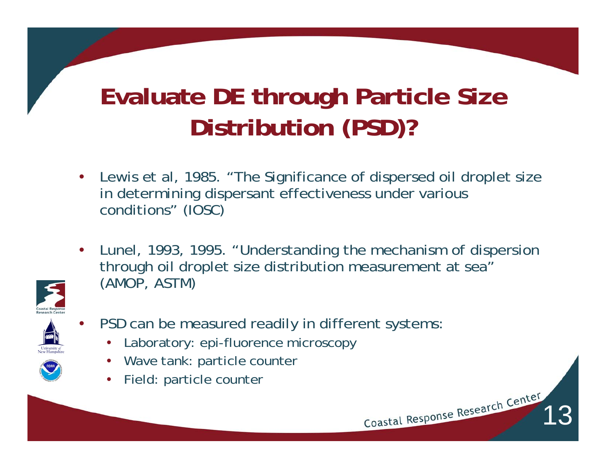## **Evaluate DE through Particle Size Distribution (PSD)?**

- • Lewis et al, 1985. "The Significance of dispersed oil droplet size in determining dispersant effectiveness under various conditions" (IOSC)
- • Lunel, 1993, 1995. "Understanding the mechanism of dispersion through oil droplet size distribution measurement at sea" (AMOP, ASTM)



- • PSD can be measured readily in different systems:
	- •Laboratory: epi-fluorence microscopy
	- Wave tank: particle counter
	- Field: particle counter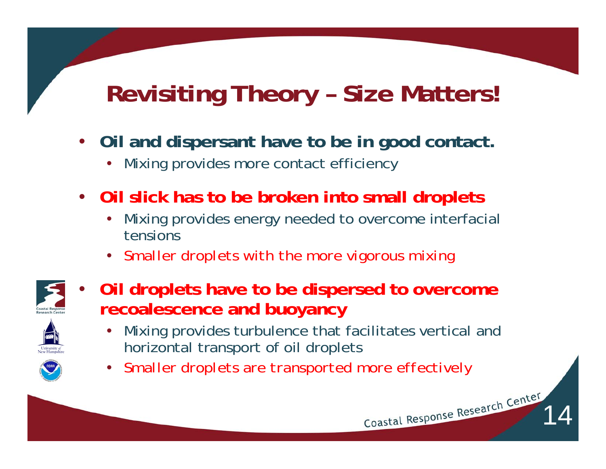## **Revisiting Theory – Size Matters!**

- • **Oil and dispersant have to be in good contact.** 
	- •Mixing provides more contact efficiency
- • **Oil slick has to be broken into small droplets**
	- • Mixing provides energy needed to overcome interfacial tensions
	- *Smaller droplets with the more vigorous mixing*



- • **Oil droplets have to be dispersed to overcome recoalescence and buoyancy**
	- $\bullet$  Mixing provides turbulence that facilitates vertical and horizontal transport of oil droplets

14

•*Smaller droplets are transported more effectively*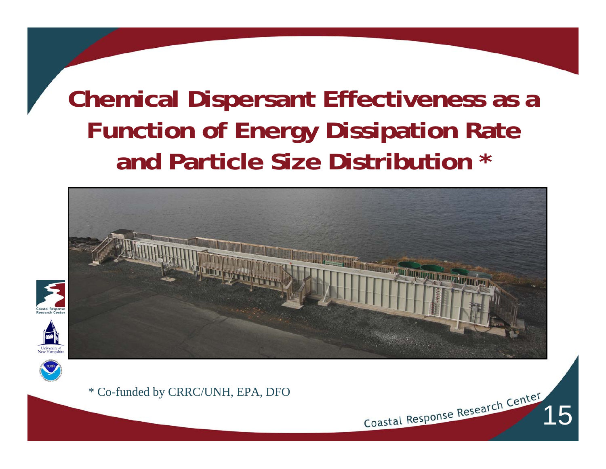## **Chemical Dispersant Effectiveness as a Function of Energy Dissipation Rate and Particle Size Distribution \***



Coastal Response Research Center



\* Co-funded by CRRC/UNH, EPA, DFO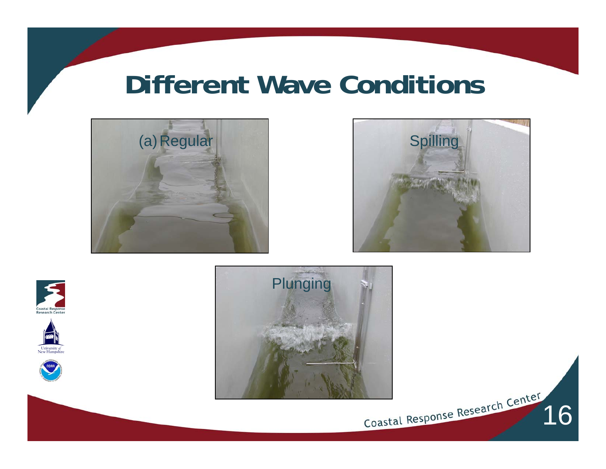#### **Different Wave Conditions**





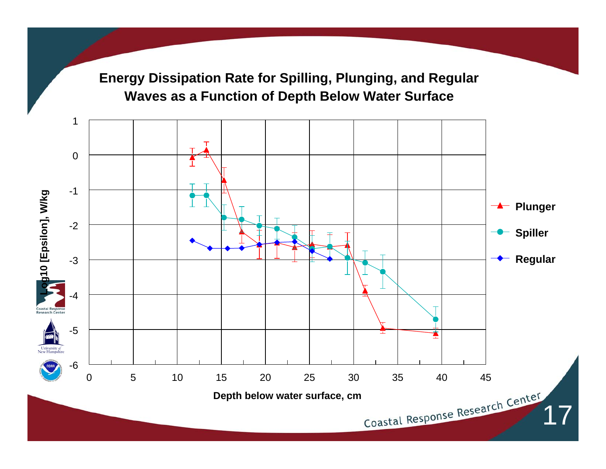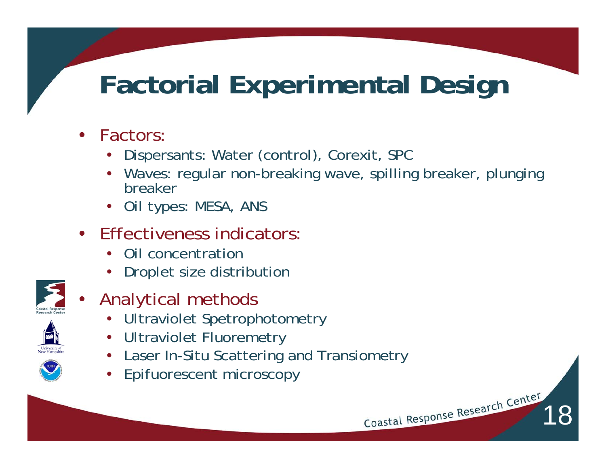# **Factorial Experimental Design**

- • Factors:
	- •Dispersants: Water (control), Corexit, SPC
	- Waves: regular non-breaking wave, spilling breaker, plunging breaker

18

- Oil types: MESA, ANS
- • Effectiveness indicators:
	- •Oil concentration
	- •Droplet size distribution
- 

•

- Analytical methods
	- •Ultraviolet Spetrophotometry
	- •Ultraviolet Fluoremetry
	- •Laser In-Situ Scattering and Transiometry
	- •Epifuorescent microscopy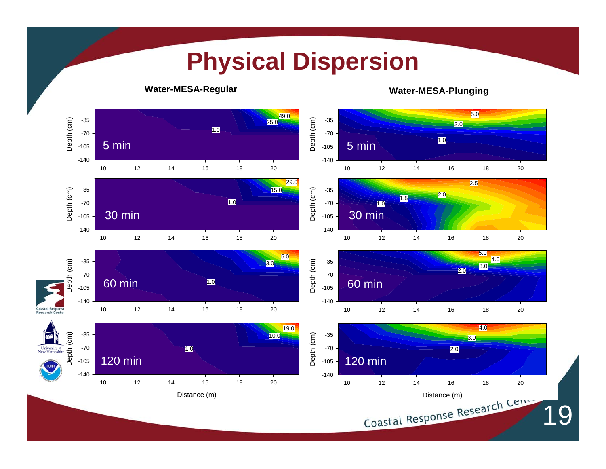#### **Physical Dispersion Water-MESA-Regular Water-MESA-Plunging** 5.0 19.0<br>25.0 Depth (cm) Depth (cm) Depth (cm) -35 Depth (cm) -35 3.0 1.0 -70 -70 1.0 5 min5 min -105 -105 -140-14020 10 12 14 16 18 2010 12 14 16 18 2029.0 2.5 Depth (cm) Depth (cm) -35Depth (cm) -35 15.0 Depth (cm) 2.0 1.5 1.0 -70 -70 1.0 30 min 30 min -105 -105 -140 -140 20 10 12 14 16 18 2010 12 14 16 18 205.0 5.0 Depth (cm) Jepth (cm) 4.0 Depth (cm) -35 Depth (cm) -35 3.0 3.0 2.0 -70 -70 1.060 min 60 min -105-105 -140 -140 Coastal R 20 10 12 14 16 18 2010 12 14 16 18 20Research Center 4.0 19.0 Depth (cm) Depth (cm) Depth (cm) -35 Depth (cm) -35 10.0 3.0 University of<br>New Hampsh -701.0 -70 2.0 120 min120 min-105 -105 -140-140 20 20 10 12 14 16 18 2010 12 14 16 18 20Distance (m)<br>Coastal Response Research Ceme Distance (m) 19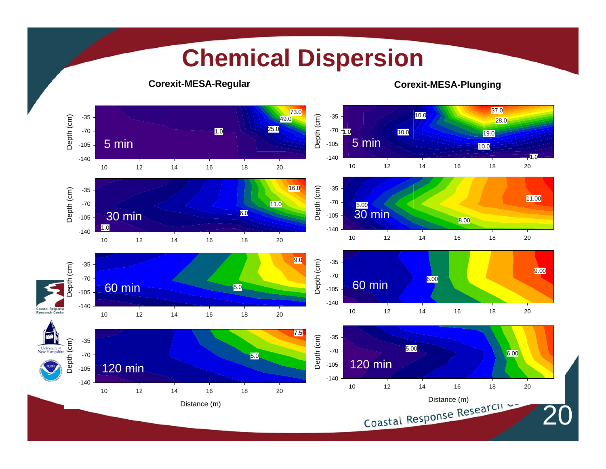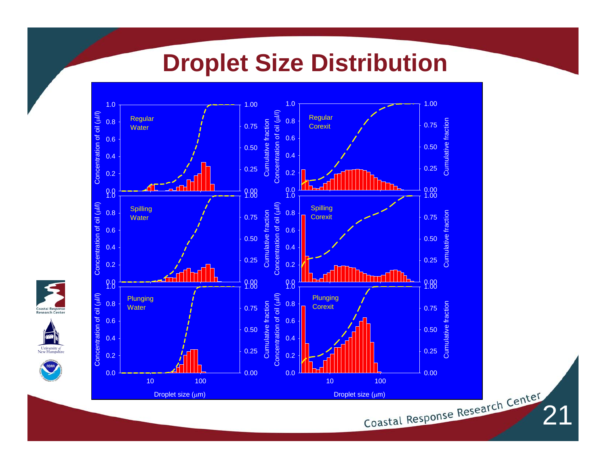#### **Droplet Size Distribution**



Coastal Re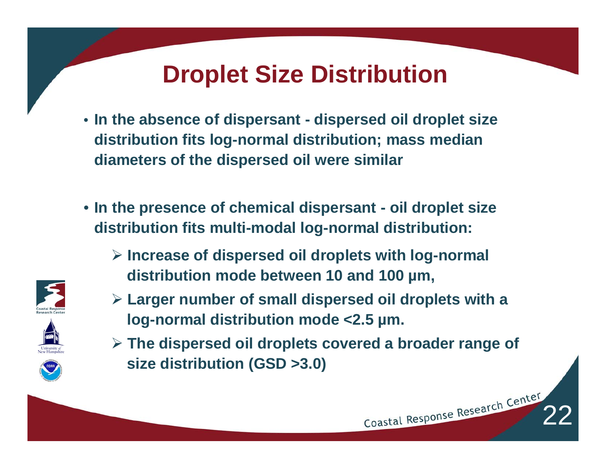#### **Droplet Size Distribution**

- **In the absence of dispersant - dispersed oil droplet size distribution fits log-normal distribution; mass median diameters of the dispersed oil were similar**
- **In the presence of chemical dispersant - oil droplet size distribution fits multi-modal log-normal distribution:** 
	- ¾ **Increase of dispersed oil droplets with log-normal distribution mode between 10 and 100 µm,**
	- ¾ **Larger number of small dispersed oil droplets with a log-normal distribution mode <2.5 µm.**
	- ¾ **The dispersed oil droplets covered a broader range of size distribution (GSD >3.0)**

Coastal Response Research Center



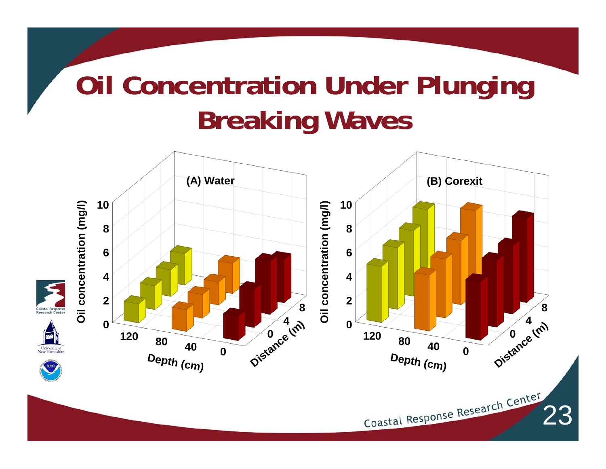# **Oil Concentration Under Plunging Breaking Waves**

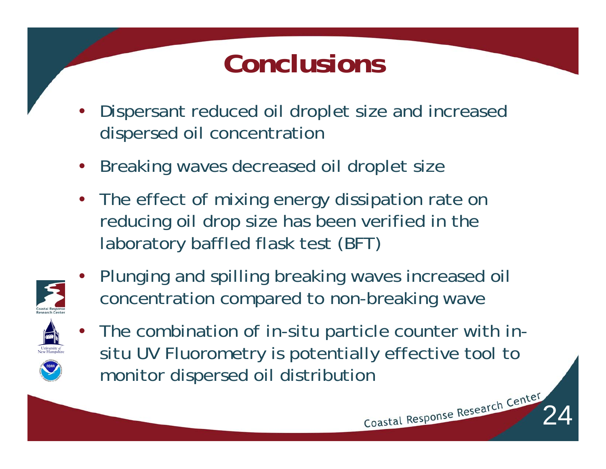# **Conclusions**

- • Dispersant reduced oil droplet size and increased dispersed oil concentration
- •Breaking waves decreased oil droplet size
- $\bullet$  The effect of mixing energy dissipation rate on reducing oil drop size has been verified in the laboratory baffled flask test (BFT)



• Plunging and spilling breaking waves increased oil concentration compared to non-breaking wave



• The combination of *in-situ* particle counter with *insitu* UV Fluorometry is potentially effective tool to monitor dispersed oil distribution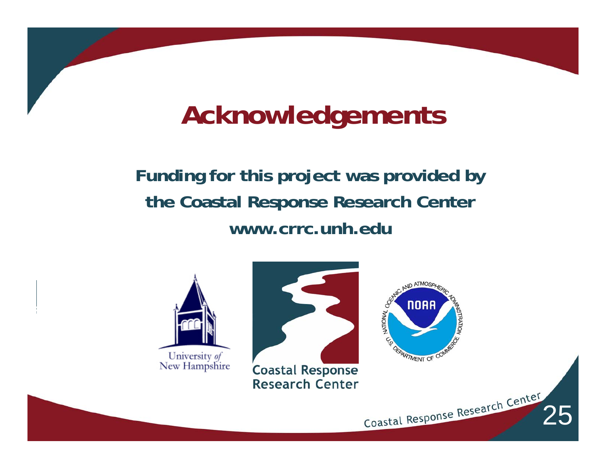# **Acknowledgements**

**Funding for this project was provided by the Coastal Response Research Center www.crrc.unh.edu**